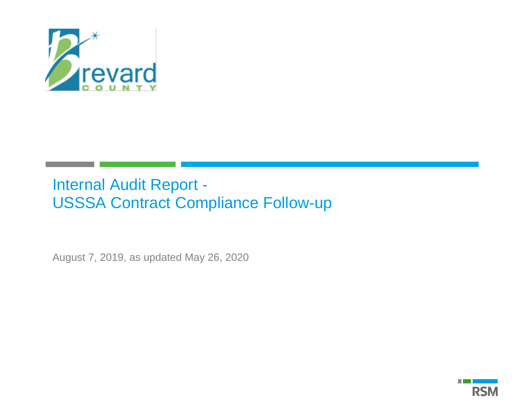

# Internal Audit Report - USSSA Contract Compliance Follow-up

August 7, 2019, as updated May 26, 2020

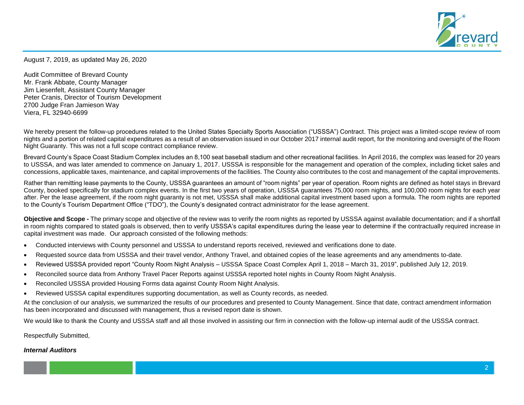

August 7, 2019, as updated May 26, 2020

Audit Committee of Brevard County Mr. Frank Abbate, County Manager Jim Liesenfelt, Assistant County Manager Peter Cranis, Director of Tourism Development 2700 Judge Fran Jamieson Way Viera, FL 32940-6699

We hereby present the follow-up procedures related to the United States Specialty Sports Association ("USSSA") Contract. This project was a limited-scope review of room nights and a portion of related capital expenditures as a result of an observation issued in our October 2017 internal audit report, for the monitoring and oversight of the Room Night Guaranty. This was not a full scope contract compliance review.

Brevard County's Space Coast Stadium Complex includes an 8,100 seat baseball stadium and other recreational facilities. In April 2016, the complex was leased for 20 years to USSSA, and was later amended to commence on January 1, 2017. USSSA is responsible for the management and operation of the complex, including ticket sales and concessions, applicable taxes, maintenance, and capital improvements of the facilities. The County also contributes to the cost and management of the capital improvements.

Rather than remitting lease payments to the County, USSSA guarantees an amount of "room nights" per year of operation. Room nights are defined as hotel stays in Brevard County, booked specifically for stadium complex events. In the first two years of operation, USSSA guarantees 75,000 room nights, and 100,000 room nights for each year after. Per the lease agreement, if the room night guaranty is not met, USSSA shall make additional capital investment based upon a formula. The room nights are reported to the County's Tourism Department Office ("TDO"), the County's designated contract administrator for the lease agreement.

**Objective and Scope -** The primary scope and objective of the review was to verify the room nights as reported by USSSA against available documentation; and if a shortfall in room nights compared to stated goals is observed, then to verify USSSA's capital expenditures during the lease year to determine if the contractually required increase in capital investment was made. Our approach consisted of the following methods:

- Conducted interviews with County personnel and USSSA to understand reports received, reviewed and verifications done to date.
- Requested source data from USSSA and their travel vendor, Anthony Travel, and obtained copies of the lease agreements and any amendments to-date.
- Reviewed USSSA provided report "County Room Night Analysis USSSA Space Coast Complex April 1, 2018 March 31, 2019", published July 12, 2019.
- Reconciled source data from Anthony Travel Pacer Reports against USSSA reported hotel nights in County Room Night Analysis.
- Reconciled USSSA provided Housing Forms data against County Room Night Analysis.
- Reviewed USSSA capital expenditures supporting documentation, as well as County records, as needed.

At the conclusion of our analysis, we summarized the results of our procedures and presented to County Management. Since that date, contract amendment information has been incorporated and discussed with management, thus a revised report date is shown.

We would like to thank the County and USSSA staff and all those involved in assisting our firm in connection with the follow-up internal audit of the USSSA contract.

Respectfully Submitted,

#### *Internal Auditors*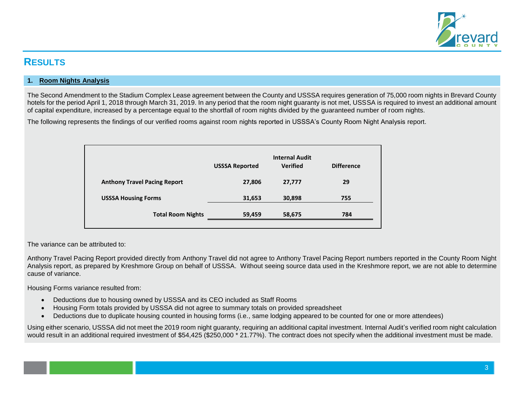

# **RESULTS**

### **1. Room Nights Analysis**

The Second Amendment to the Stadium Complex Lease agreement between the County and USSSA requires generation of 75,000 room nights in Brevard County hotels for the period April 1, 2018 through March 31, 2019. In any period that the room night guaranty is not met, USSSA is required to invest an additional amount of capital expenditure, increased by a percentage equal to the shortfall of room nights divided by the guaranteed number of room nights.

The following represents the findings of our verified rooms against room nights reported in USSSA's County Room Night Analysis report.

|                                     | <b>USSSA Reported</b> | <b>Internal Audit</b><br><b>Verified</b> | <b>Difference</b> |
|-------------------------------------|-----------------------|------------------------------------------|-------------------|
| <b>Anthony Travel Pacing Report</b> | 27,806                | 27,777                                   | 29                |
| <b>USSSA Housing Forms</b>          | 31,653                | 30,898                                   | 755               |
| <b>Total Room Nights</b>            | 59,459                | 58,675                                   | 784               |

The variance can be attributed to:

Anthony Travel Pacing Report provided directly from Anthony Travel did not agree to Anthony Travel Pacing Report numbers reported in the County Room Night Analysis report, as prepared by Kreshmore Group on behalf of USSSA. Without seeing source data used in the Kreshmore report, we are not able to determine cause of variance.

Housing Forms variance resulted from:

- Deductions due to housing owned by USSSA and its CEO included as Staff Rooms
- Housing Form totals provided by USSSA did not agree to summary totals on provided spreadsheet
- Deductions due to duplicate housing counted in housing forms (i.e., same lodging appeared to be counted for one or more attendees)

Using either scenario, USSSA did not meet the 2019 room night guaranty, requiring an additional capital investment. Internal Audit's verified room night calculation would result in an additional required investment of \$54,425 (\$250,000 \* 21.77%). The contract does not specify when the additional investment must be made.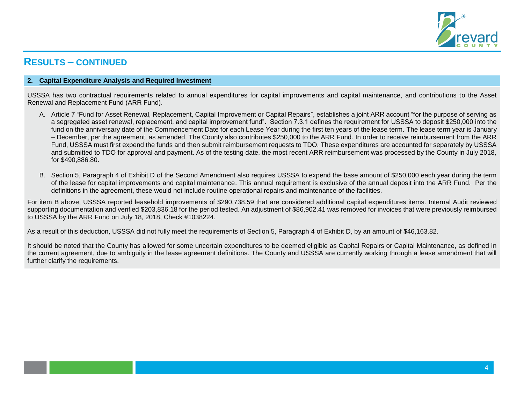

# **RESULTS – CONTINUED**

#### **2. Capital Expenditure Analysis and Required Investment**

USSSA has two contractual requirements related to annual expenditures for capital improvements and capital maintenance, and contributions to the Asset Renewal and Replacement Fund (ARR Fund).

- A. Article 7 "Fund for Asset Renewal, Replacement, Capital Improvement or Capital Repairs", establishes a joint ARR account "for the purpose of serving as a segregated asset renewal, replacement, and capital improvement fund". Section 7.3.1 defines the requirement for USSSA to deposit \$250,000 into the fund on the anniversary date of the Commencement Date for each Lease Year during the first ten years of the lease term. The lease term year is January – December, per the agreement, as amended. The County also contributes \$250,000 to the ARR Fund. In order to receive reimbursement from the ARR Fund, USSSA must first expend the funds and then submit reimbursement requests to TDO. These expenditures are accounted for separately by USSSA and submitted to TDO for approval and payment. As of the testing date, the most recent ARR reimbursement was processed by the County in July 2018, for \$490,886.80.
- B. Section 5, Paragraph 4 of Exhibit D of the Second Amendment also requires USSSA to expend the base amount of \$250,000 each year during the term of the lease for capital improvements and capital maintenance. This annual requirement is exclusive of the annual deposit into the ARR Fund. Per the definitions in the agreement, these would not include routine operational repairs and maintenance of the facilities.

For item B above, USSSA reported leasehold improvements of \$290,738.59 that are considered additional capital expenditures items. Internal Audit reviewed supporting documentation and verified \$203,836.18 for the period tested. An adjustment of \$86,902.41 was removed for invoices that were previously reimbursed to USSSA by the ARR Fund on July 18, 2018, Check #1038224.

As a result of this deduction, USSSA did not fully meet the requirements of Section 5, Paragraph 4 of Exhibit D, by an amount of \$46,163.82.

It should be noted that the County has allowed for some uncertain expenditures to be deemed eligible as Capital Repairs or Capital Maintenance, as defined in the current agreement, due to ambiguity in the lease agreement definitions. The County and USSSA are currently working through a lease amendment that will further clarify the requirements.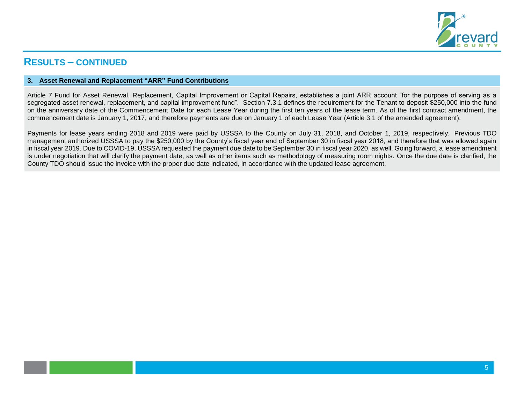

# **RESULTS – CONTINUED**

#### **3. Asset Renewal and Replacement "ARR" Fund Contributions**

Article 7 Fund for Asset Renewal, Replacement, Capital Improvement or Capital Repairs, establishes a joint ARR account "for the purpose of serving as a segregated asset renewal, replacement, and capital improvement fund". Section 7.3.1 defines the requirement for the Tenant to deposit \$250,000 into the fund on the anniversary date of the Commencement Date for each Lease Year during the first ten years of the lease term. As of the first contract amendment, the commencement date is January 1, 2017, and therefore payments are due on January 1 of each Lease Year (Article 3.1 of the amended agreement).

Payments for lease years ending 2018 and 2019 were paid by USSSA to the County on July 31, 2018, and October 1, 2019, respectively. Previous TDO management authorized USSSA to pay the \$250,000 by the County's fiscal year end of September 30 in fiscal year 2018, and therefore that was allowed again in fiscal year 2019. Due to COVID-19, USSSA requested the payment due date to be September 30 in fiscal year 2020, as well. Going forward, a lease amendment is under negotiation that will clarify the payment date, as well as other items such as methodology of measuring room nights. Once the due date is clarified, the County TDO should issue the invoice with the proper due date indicated, in accordance with the updated lease agreement.